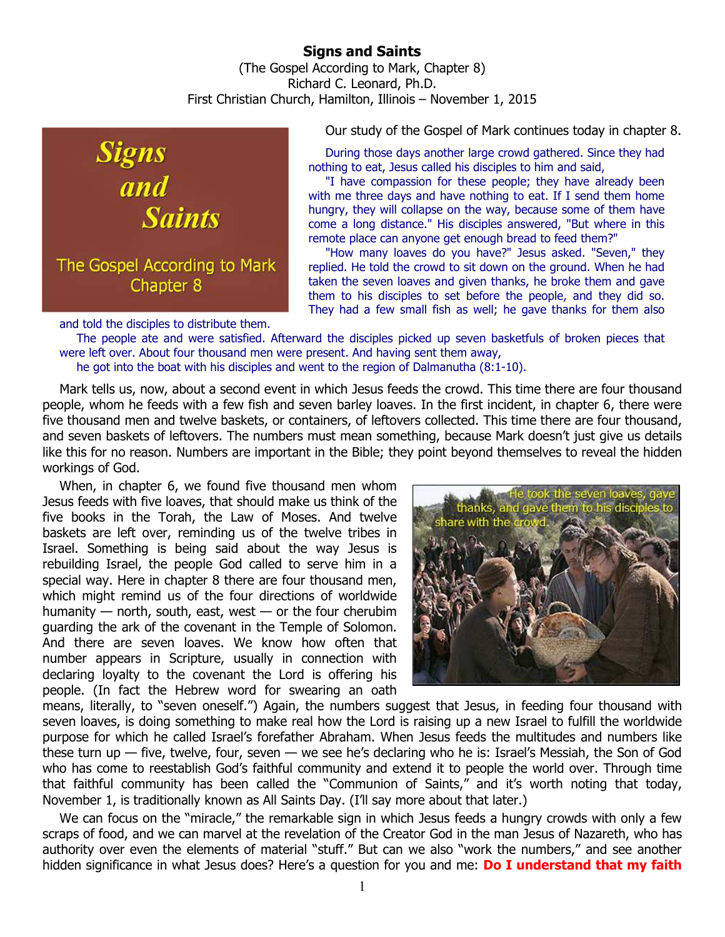## **Signs and Saints**  (The Gospel According to Mark, Chapter 8) Richard C. Leonard, Ph.D. First Christian Church, Hamilton, Illinois – November 1, 2015



Our study of the Gospel of Mark continues today in chapter 8.

During those days another large crowd gathered. Since they had nothing to eat, Jesus called his disciples to him and said,

"I have compassion for these people; they have already been with me three days and have nothing to eat. If I send them home hungry, they will collapse on the way, because some of them have come a long distance." His disciples answered, "But where in this remote place can anyone get enough bread to feed them?"

"How many loaves do you have?" Jesus asked. "Seven," they replied. He told the crowd to sit down on the ground. When he had taken the seven loaves and given thanks, he broke them and gave them to his disciples to set before the people, and they did so. They had a few small fish as well; he gave thanks for them also

and told the disciples to distribute them.

The people ate and were satisfied. Afterward the disciples picked up seven basketfuls of broken pieces that were left over. About four thousand men were present. And having sent them away, he got into the boat with his disciples and went to the region of Dalmanutha (8:1-10).

Mark tells us, now, about a second event in which Jesus feeds the crowd. This time there are four thousand people, whom he feeds with a few fish and seven barley loaves. In the first incident, in chapter 6, there were five thousand men and twelve baskets, or containers, of leftovers collected. This time there are four thousand, and seven baskets of leftovers. The numbers must mean something, because Mark doesn't just give us details like this for no reason. Numbers are important in the Bible; they point beyond themselves to reveal the hidden workings of God.

When, in chapter 6, we found five thousand men whom Jesus feeds with five loaves, that should make us think of the five books in the Torah, the Law of Moses. And twelve baskets are left over, reminding us of the twelve tribes in Israel. Something is being said about the way Jesus is rebuilding Israel, the people God called to serve him in a special way. Here in chapter 8 there are four thousand men, which might remind us of the four directions of worldwide humanity  $-$  north, south, east, west  $-$  or the four cherubim guarding the ark of the covenant in the Temple of Solomon. And there are seven loaves. We know how often that number appears in Scripture, usually in connection with declaring loyalty to the covenant the Lord is offering his people. (In fact the Hebrew word for swearing an oath



means, literally, to "seven oneself.") Again, the numbers suggest that Jesus, in feeding four thousand with seven loaves, is doing something to make real how the Lord is raising up a new Israel to fulfill the worldwide purpose for which he called Israel's forefather Abraham. When Jesus feeds the multitudes and numbers like these turn up — five, twelve, four, seven — we see he's declaring who he is: Israel's Messiah, the Son of God who has come to reestablish God's faithful community and extend it to people the world over. Through time that faithful community has been called the "Communion of Saints," and it's worth noting that today, November 1, is traditionally known as All Saints Day. (I'll say more about that later.)

We can focus on the "miracle," the remarkable sign in which Jesus feeds a hungry crowds with only a few scraps of food, and we can marvel at the revelation of the Creator God in the man Jesus of Nazareth, who has authority over even the elements of material "stuff." But can we also "work the numbers," and see another hidden significance in what Jesus does? Here's a question for you and me: **Do I understand that my faith**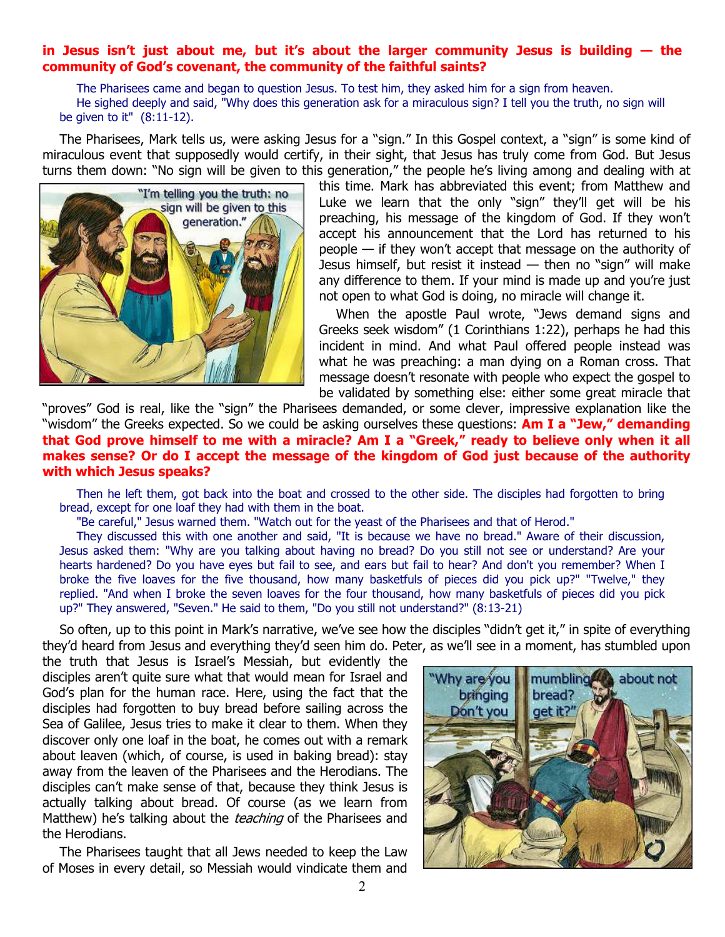## **in Jesus isn't just about me, but it's about the larger community Jesus is building — the community of God's covenant, the community of the faithful saints?**

The Pharisees came and began to question Jesus. To test him, they asked him for a sign from heaven. He sighed deeply and said, "Why does this generation ask for a miraculous sign? I tell you the truth, no sign will be given to it" (8:11-12).

The Pharisees, Mark tells us, were asking Jesus for a "sign." In this Gospel context, a "sign" is some kind of miraculous event that supposedly would certify, in their sight, that Jesus has truly come from God. But Jesus turns them down: "No sign will be given to this generation," the people he's living among and dealing with at



this time. Mark has abbreviated this event; from Matthew and Luke we learn that the only "sign" they'll get will be his preaching, his message of the kingdom of God. If they won't accept his announcement that the Lord has returned to his people — if they won't accept that message on the authority of Jesus himself, but resist it instead — then no "sign" will make any difference to them. If your mind is made up and you're just not open to what God is doing, no miracle will change it.

When the apostle Paul wrote, "Jews demand signs and Greeks seek wisdom" (1 Corinthians 1:22), perhaps he had this incident in mind. And what Paul offered people instead was what he was preaching: a man dying on a Roman cross. That message doesn't resonate with people who expect the gospel to be validated by something else: either some great miracle that

"proves" God is real, like the "sign" the Pharisees demanded, or some clever, impressive explanation like the "wisdom" the Greeks expected. So we could be asking ourselves these questions: **Am I a "Jew," demanding that God prove himself to me with a miracle? Am I a "Greek," ready to believe only when it all makes sense? Or do I accept the message of the kingdom of God just because of the authority with which Jesus speaks?**

Then he left them, got back into the boat and crossed to the other side. The disciples had forgotten to bring bread, except for one loaf they had with them in the boat.

"Be careful," Jesus warned them. "Watch out for the yeast of the Pharisees and that of Herod."

They discussed this with one another and said, "It is because we have no bread." Aware of their discussion, Jesus asked them: "Why are you talking about having no bread? Do you still not see or understand? Are your hearts hardened? Do you have eyes but fail to see, and ears but fail to hear? And don't you remember? When I broke the five loaves for the five thousand, how many basketfuls of pieces did you pick up?" "Twelve," they replied. "And when I broke the seven loaves for the four thousand, how many basketfuls of pieces did you pick up?" They answered, "Seven." He said to them, "Do you still not understand?" (8:13-21)

So often, up to this point in Mark's narrative, we've see how the disciples "didn't get it," in spite of everything they'd heard from Jesus and everything they'd seen him do. Peter, as we'll see in a moment, has stumbled upon

the truth that Jesus is Israel's Messiah, but evidently the disciples aren't quite sure what that would mean for Israel and God's plan for the human race. Here, using the fact that the disciples had forgotten to buy bread before sailing across the Sea of Galilee, Jesus tries to make it clear to them. When they discover only one loaf in the boat, he comes out with a remark about leaven (which, of course, is used in baking bread): stay away from the leaven of the Pharisees and the Herodians. The disciples can't make sense of that, because they think Jesus is actually talking about bread. Of course (as we learn from Matthew) he's talking about the *teaching* of the Pharisees and the Herodians.

The Pharisees taught that all Jews needed to keep the Law of Moses in every detail, so Messiah would vindicate them and

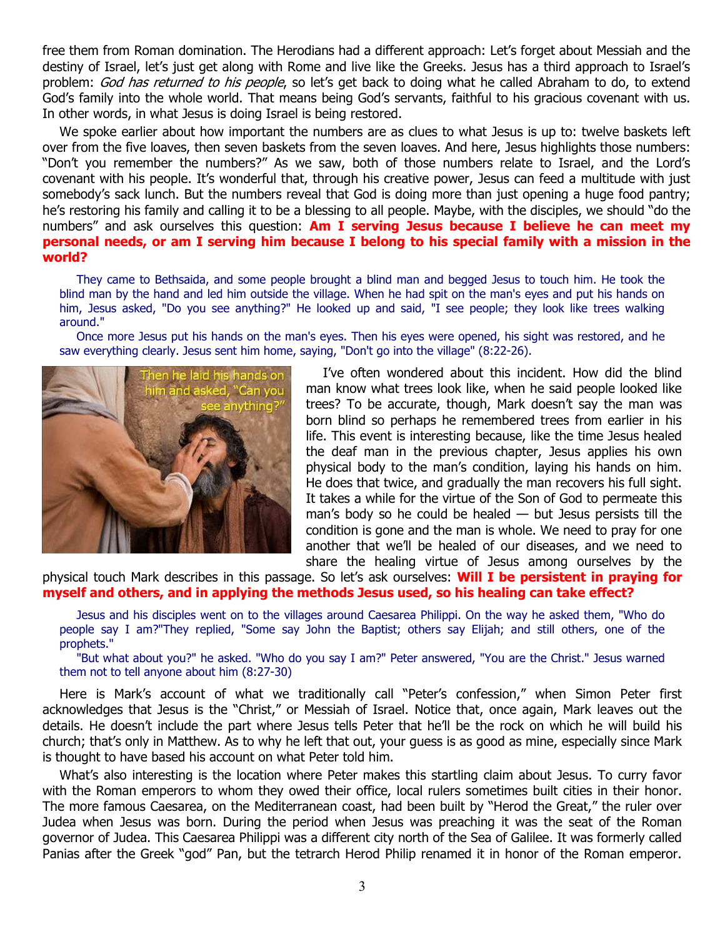free them from Roman domination. The Herodians had a different approach: Let's forget about Messiah and the destiny of Israel, let's just get along with Rome and live like the Greeks. Jesus has a third approach to Israel's problem: God has returned to his people, so let's get back to doing what he called Abraham to do, to extend God's family into the whole world. That means being God's servants, faithful to his gracious covenant with us. In other words, in what Jesus is doing Israel is being restored.

We spoke earlier about how important the numbers are as clues to what Jesus is up to: twelve baskets left over from the five loaves, then seven baskets from the seven loaves. And here, Jesus highlights those numbers: "Don't you remember the numbers?" As we saw, both of those numbers relate to Israel, and the Lord's covenant with his people. It's wonderful that, through his creative power, Jesus can feed a multitude with just somebody's sack lunch. But the numbers reveal that God is doing more than just opening a huge food pantry; he's restoring his family and calling it to be a blessing to all people. Maybe, with the disciples, we should "do the numbers" and ask ourselves this question: **Am I serving Jesus because I believe he can meet my personal needs, or am I serving him because I belong to his special family with a mission in the world?**

They came to Bethsaida, and some people brought a blind man and begged Jesus to touch him. He took the blind man by the hand and led him outside the village. When he had spit on the man's eyes and put his hands on him, Jesus asked, "Do you see anything?" He looked up and said, "I see people; they look like trees walking around."

Once more Jesus put his hands on the man's eyes. Then his eyes were opened, his sight was restored, and he saw everything clearly. Jesus sent him home, saying, "Don't go into the village" (8:22-26).



I've often wondered about this incident. How did the blind man know what trees look like, when he said people looked like trees? To be accurate, though, Mark doesn't say the man was born blind so perhaps he remembered trees from earlier in his life. This event is interesting because, like the time Jesus healed the deaf man in the previous chapter, Jesus applies his own physical body to the man's condition, laying his hands on him. He does that twice, and gradually the man recovers his full sight. It takes a while for the virtue of the Son of God to permeate this man's body so he could be healed — but Jesus persists till the condition is gone and the man is whole. We need to pray for one another that we'll be healed of our diseases, and we need to share the healing virtue of Jesus among ourselves by the

physical touch Mark describes in this passage. So let's ask ourselves: **Will I be persistent in praying for myself and others, and in applying the methods Jesus used, so his healing can take effect?**

Jesus and his disciples went on to the villages around Caesarea Philippi. On the way he asked them, "Who do people say I am?"They replied, "Some say John the Baptist; others say Elijah; and still others, one of the prophets."

"But what about you?" he asked. "Who do you say I am?" Peter answered, "You are the Christ." Jesus warned them not to tell anyone about him (8:27-30)

Here is Mark's account of what we traditionally call "Peter's confession," when Simon Peter first acknowledges that Jesus is the "Christ," or Messiah of Israel. Notice that, once again, Mark leaves out the details. He doesn't include the part where Jesus tells Peter that he'll be the rock on which he will build his church; that's only in Matthew. As to why he left that out, your guess is as good as mine, especially since Mark is thought to have based his account on what Peter told him.

What's also interesting is the location where Peter makes this startling claim about Jesus. To curry favor with the Roman emperors to whom they owed their office, local rulers sometimes built cities in their honor. The more famous Caesarea, on the Mediterranean coast, had been built by "Herod the Great," the ruler over Judea when Jesus was born. During the period when Jesus was preaching it was the seat of the Roman governor of Judea. This Caesarea Philippi was a different city north of the Sea of Galilee. It was formerly called Panias after the Greek "god" Pan, but the tetrarch Herod Philip renamed it in honor of the Roman emperor.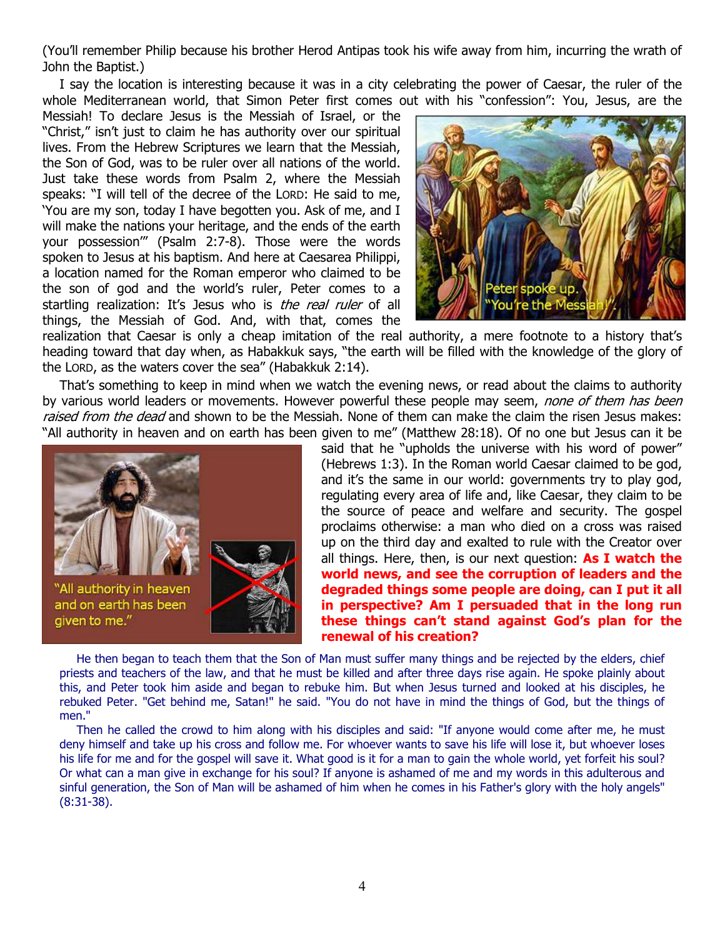(You'll remember Philip because his brother Herod Antipas took his wife away from him, incurring the wrath of John the Baptist.)

I say the location is interesting because it was in a city celebrating the power of Caesar, the ruler of the whole Mediterranean world, that Simon Peter first comes out with his "confession": You, Jesus, are the

Messiah! To declare Jesus is the Messiah of Israel, or the "Christ," isn't just to claim he has authority over our spiritual lives. From the Hebrew Scriptures we learn that the Messiah, the Son of God, was to be ruler over all nations of the world. Just take these words from Psalm 2, where the Messiah speaks: "I will tell of the decree of the LORD: He said to me, 'You are my son, today I have begotten you. Ask of me, and I will make the nations your heritage, and the ends of the earth your possession'" (Psalm 2:7-8). Those were the words spoken to Jesus at his baptism. And here at Caesarea Philippi, a location named for the Roman emperor who claimed to be the son of god and the world's ruler, Peter comes to a startling realization: It's Jesus who is the real ruler of all things, the Messiah of God. And, with that, comes the



realization that Caesar is only a cheap imitation of the real authority, a mere footnote to a history that's heading toward that day when, as Habakkuk says, "the earth will be filled with the knowledge of the glory of the LORD, as the waters cover the sea" (Habakkuk 2:14).

That's something to keep in mind when we watch the evening news, or read about the claims to authority by various world leaders or movements. However powerful these people may seem, none of them has been raised from the dead and shown to be the Messiah. None of them can make the claim the risen Jesus makes: "All authority in heaven and on earth has been given to me" (Matthew 28:18). Of no one but Jesus can it be



said that he "upholds the universe with his word of power" (Hebrews 1:3). In the Roman world Caesar claimed to be god, and it's the same in our world: governments try to play god, regulating every area of life and, like Caesar, they claim to be the source of peace and welfare and security. The gospel proclaims otherwise: a man who died on a cross was raised up on the third day and exalted to rule with the Creator over all things. Here, then, is our next question: **As I watch the world news, and see the corruption of leaders and the degraded things some people are doing, can I put it all in perspective? Am I persuaded that in the long run these things can't stand against God's plan for the renewal of his creation?**

He then began to teach them that the Son of Man must suffer many things and be rejected by the elders, chief priests and teachers of the law, and that he must be killed and after three days rise again. He spoke plainly about this, and Peter took him aside and began to rebuke him. But when Jesus turned and looked at his disciples, he rebuked Peter. "Get behind me, Satan!" he said. "You do not have in mind the things of God, but the things of men."

Then he called the crowd to him along with his disciples and said: "If anyone would come after me, he must deny himself and take up his cross and follow me. For whoever wants to save his life will lose it, but whoever loses his life for me and for the gospel will save it. What good is it for a man to gain the whole world, yet forfeit his soul? Or what can a man give in exchange for his soul? If anyone is ashamed of me and my words in this adulterous and sinful generation, the Son of Man will be ashamed of him when he comes in his Father's glory with the holy angels" (8:31-38).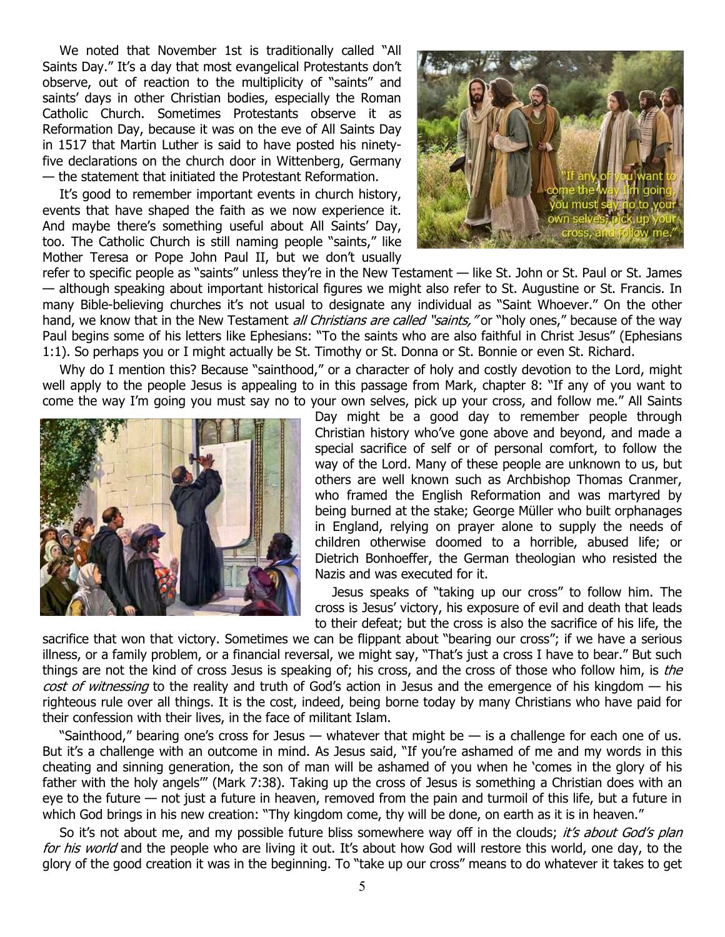We noted that November 1st is traditionally called "All Saints Day." It's a day that most evangelical Protestants don't observe, out of reaction to the multiplicity of "saints" and saints' days in other Christian bodies, especially the Roman Catholic Church. Sometimes Protestants observe it as Reformation Day, because it was on the eve of All Saints Day in 1517 that Martin Luther is said to have posted his ninetyfive declarations on the church door in Wittenberg, Germany — the statement that initiated the Protestant Reformation.

It's good to remember important events in church history, events that have shaped the faith as we now experience it. And maybe there's something useful about All Saints' Day, too. The Catholic Church is still naming people "saints," like Mother Teresa or Pope John Paul II, but we don't usually



refer to specific people as "saints" unless they're in the New Testament — like St. John or St. Paul or St. James — although speaking about important historical figures we might also refer to St. Augustine or St. Francis. In many Bible-believing churches it's not usual to designate any individual as "Saint Whoever." On the other hand, we know that in the New Testament *all Christians are called "saints,"* or "holy ones," because of the way Paul begins some of his letters like Ephesians: "To the saints who are also faithful in Christ Jesus" (Ephesians 1:1). So perhaps you or I might actually be St. Timothy or St. Donna or St. Bonnie or even St. Richard.

Why do I mention this? Because "sainthood," or a character of holy and costly devotion to the Lord, might well apply to the people Jesus is appealing to in this passage from Mark, chapter 8: "If any of you want to come the way I'm going you must say no to your own selves, pick up your cross, and follow me." All Saints



Day might be a good day to remember people through Christian history who've gone above and beyond, and made a special sacrifice of self or of personal comfort, to follow the way of the Lord. Many of these people are unknown to us, but others are well known such as Archbishop Thomas Cranmer, who framed the English Reformation and was martyred by being burned at the stake; George Müller who built orphanages in England, relying on prayer alone to supply the needs of children otherwise doomed to a horrible, abused life; or Dietrich Bonhoeffer, the German theologian who resisted the Nazis and was executed for it.

Jesus speaks of "taking up our cross" to follow him. The cross is Jesus' victory, his exposure of evil and death that leads to their defeat; but the cross is also the sacrifice of his life, the

sacrifice that won that victory. Sometimes we can be flippant about "bearing our cross"; if we have a serious illness, or a family problem, or a financial reversal, we might say, "That's just a cross I have to bear." But such things are not the kind of cross Jesus is speaking of; his cross, and the cross of those who follow him, is the cost of witnessing to the reality and truth of God's action in Jesus and the emergence of his kingdom – his righteous rule over all things. It is the cost, indeed, being borne today by many Christians who have paid for their confession with their lives, in the face of militant Islam.

"Sainthood," bearing one's cross for Jesus — whatever that might be — is a challenge for each one of us. But it's a challenge with an outcome in mind. As Jesus said, "If you're ashamed of me and my words in this cheating and sinning generation, the son of man will be ashamed of you when he 'comes in the glory of his father with the holy angels'" (Mark 7:38). Taking up the cross of Jesus is something a Christian does with an eye to the future — not just a future in heaven, removed from the pain and turmoil of this life, but a future in which God brings in his new creation: "Thy kingdom come, thy will be done, on earth as it is in heaven."

So it's not about me, and my possible future bliss somewhere way off in the clouds; it's about God's plan for his world and the people who are living it out. It's about how God will restore this world, one day, to the glory of the good creation it was in the beginning. To "take up our cross" means to do whatever it takes to get